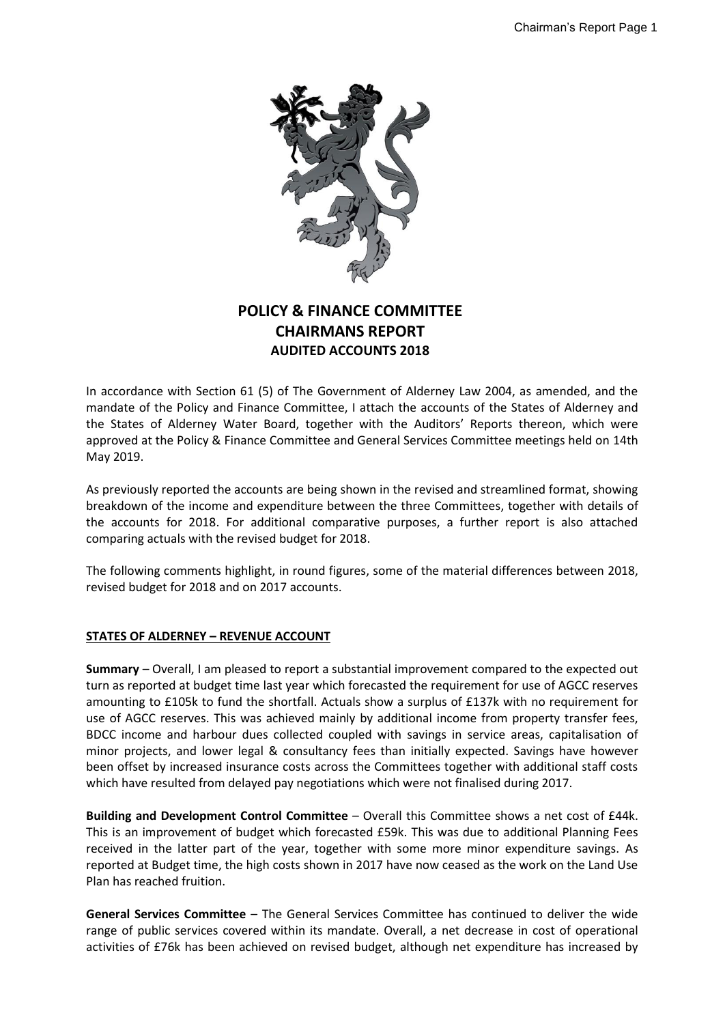

# **POLICY & FINANCE COMMITTEE CHAIRMANS REPORT AUDITED ACCOUNTS 2018**

In accordance with Section 61 (5) of The Government of Alderney Law 2004, as amended, and the mandate of the Policy and Finance Committee, I attach the accounts of the States of Alderney and the States of Alderney Water Board, together with the Auditors' Reports thereon, which were approved at the Policy & Finance Committee and General Services Committee meetings held on 14th May 2019.

As previously reported the accounts are being shown in the revised and streamlined format, showing breakdown of the income and expenditure between the three Committees, together with details of the accounts for 2018. For additional comparative purposes, a further report is also attached comparing actuals with the revised budget for 2018.

The following comments highlight, in round figures, some of the material differences between 2018, revised budget for 2018 and on 2017 accounts.

## **STATES OF ALDERNEY – REVENUE ACCOUNT**

**Summary** – Overall, I am pleased to report a substantial improvement compared to the expected out turn as reported at budget time last year which forecasted the requirement for use of AGCC reserves amounting to £105k to fund the shortfall. Actuals show a surplus of £137k with no requirement for use of AGCC reserves. This was achieved mainly by additional income from property transfer fees, BDCC income and harbour dues collected coupled with savings in service areas, capitalisation of minor projects, and lower legal & consultancy fees than initially expected. Savings have however been offset by increased insurance costs across the Committees together with additional staff costs which have resulted from delayed pay negotiations which were not finalised during 2017.

**Building and Development Control Committee** – Overall this Committee shows a net cost of £44k. This is an improvement of budget which forecasted £59k. This was due to additional Planning Fees received in the latter part of the year, together with some more minor expenditure savings. As reported at Budget time, the high costs shown in 2017 have now ceased as the work on the Land Use Plan has reached fruition.

**General Services Committee** – The General Services Committee has continued to deliver the wide range of public services covered within its mandate. Overall, a net decrease in cost of operational activities of £76k has been achieved on revised budget, although net expenditure has increased by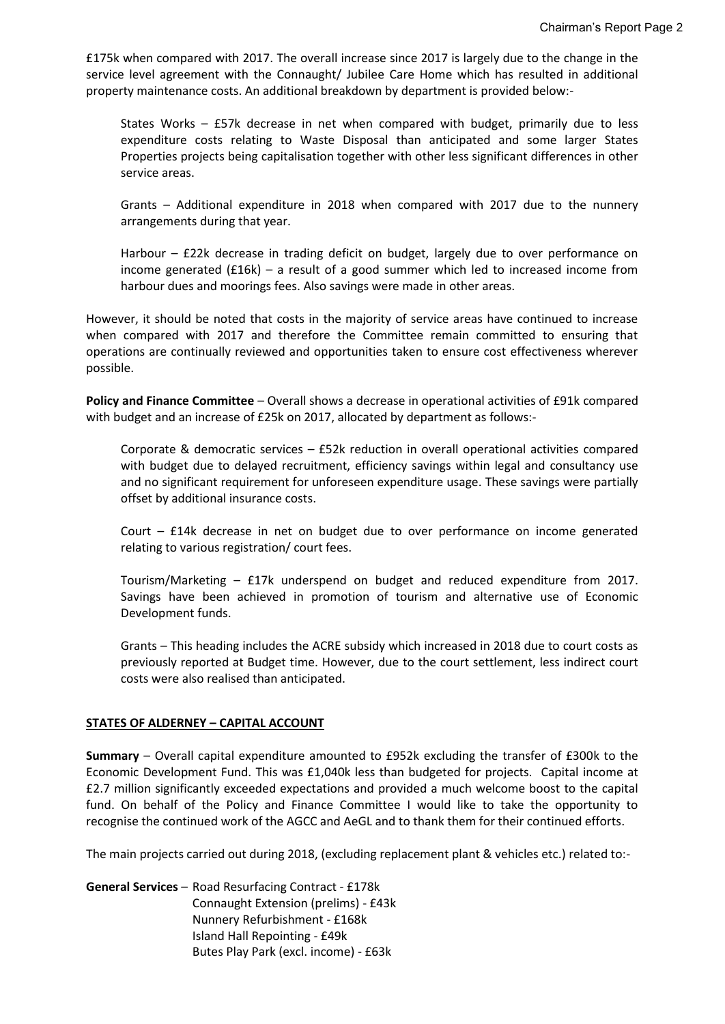£175k when compared with 2017. The overall increase since 2017 is largely due to the change in the service level agreement with the Connaught/ Jubilee Care Home which has resulted in additional property maintenance costs. An additional breakdown by department is provided below:-

States Works – £57k decrease in net when compared with budget, primarily due to less expenditure costs relating to Waste Disposal than anticipated and some larger States Properties projects being capitalisation together with other less significant differences in other service areas.

Grants – Additional expenditure in 2018 when compared with 2017 due to the nunnery arrangements during that year.

Harbour – £22k decrease in trading deficit on budget, largely due to over performance on income generated (£16k) – a result of a good summer which led to increased income from harbour dues and moorings fees. Also savings were made in other areas.

However, it should be noted that costs in the majority of service areas have continued to increase when compared with 2017 and therefore the Committee remain committed to ensuring that operations are continually reviewed and opportunities taken to ensure cost effectiveness wherever possible.

**Policy and Finance Committee – Overall shows a decrease in operational activities of £91k compared** with budget and an increase of £25k on 2017, allocated by department as follows:-

Corporate & democratic services – £52k reduction in overall operational activities compared with budget due to delayed recruitment, efficiency savings within legal and consultancy use and no significant requirement for unforeseen expenditure usage. These savings were partially offset by additional insurance costs.

Court – £14k decrease in net on budget due to over performance on income generated relating to various registration/ court fees.

Tourism/Marketing – £17k underspend on budget and reduced expenditure from 2017. Savings have been achieved in promotion of tourism and alternative use of Economic Development funds.

Grants – This heading includes the ACRE subsidy which increased in 2018 due to court costs as previously reported at Budget time. However, due to the court settlement, less indirect court costs were also realised than anticipated.

## **STATES OF ALDERNEY – CAPITAL ACCOUNT**

**Summary** – Overall capital expenditure amounted to £952k excluding the transfer of £300k to the Economic Development Fund. This was £1,040k less than budgeted for projects. Capital income at £2.7 million significantly exceeded expectations and provided a much welcome boost to the capital fund. On behalf of the Policy and Finance Committee I would like to take the opportunity to recognise the continued work of the AGCC and AeGL and to thank them for their continued efforts.

The main projects carried out during 2018, (excluding replacement plant & vehicles etc.) related to:-

**General Services** – Road Resurfacing Contract - £178k Connaught Extension (prelims) - £43k Nunnery Refurbishment - £168k Island Hall Repointing - £49k Butes Play Park (excl. income) - £63k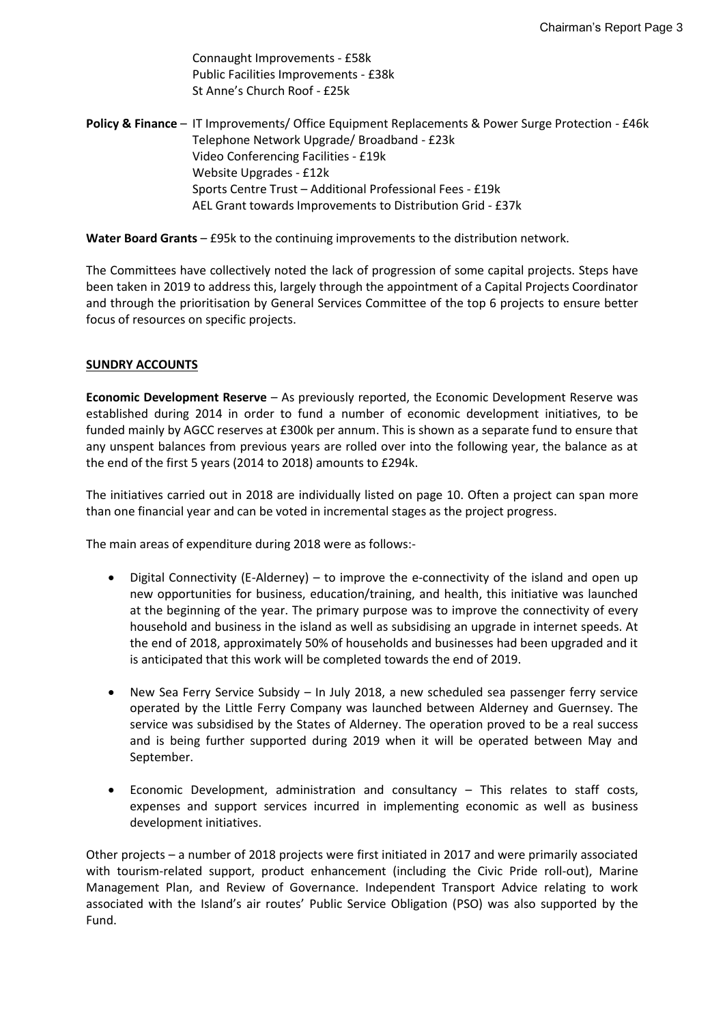Connaught Improvements - £58k Public Facilities Improvements - £38k St Anne's Church Roof - £25k

**Policy & Finance** – IT Improvements/ Office Equipment Replacements & Power Surge Protection - £46k Telephone Network Upgrade/ Broadband - £23k Video Conferencing Facilities - £19k Website Upgrades - £12k Sports Centre Trust – Additional Professional Fees - £19k AEL Grant towards Improvements to Distribution Grid - £37k

**Water Board Grants** – £95k to the continuing improvements to the distribution network.

The Committees have collectively noted the lack of progression of some capital projects. Steps have been taken in 2019 to address this, largely through the appointment of a Capital Projects Coordinator and through the prioritisation by General Services Committee of the top 6 projects to ensure better focus of resources on specific projects.

## **SUNDRY ACCOUNTS**

**Economic Development Reserve** – As previously reported, the Economic Development Reserve was established during 2014 in order to fund a number of economic development initiatives, to be funded mainly by AGCC reserves at £300k per annum. This is shown as a separate fund to ensure that any unspent balances from previous years are rolled over into the following year, the balance as at the end of the first 5 years (2014 to 2018) amounts to £294k.

The initiatives carried out in 2018 are individually listed on page 10. Often a project can span more than one financial year and can be voted in incremental stages as the project progress.

The main areas of expenditure during 2018 were as follows:-

- Digital Connectivity (E-Alderney) to improve the e-connectivity of the island and open up new opportunities for business, education/training, and health, this initiative was launched at the beginning of the year. The primary purpose was to improve the connectivity of every household and business in the island as well as subsidising an upgrade in internet speeds. At the end of 2018, approximately 50% of households and businesses had been upgraded and it is anticipated that this work will be completed towards the end of 2019.
- New Sea Ferry Service Subsidy In July 2018, a new scheduled sea passenger ferry service operated by the Little Ferry Company was launched between Alderney and Guernsey. The service was subsidised by the States of Alderney. The operation proved to be a real success and is being further supported during 2019 when it will be operated between May and September.
- Economic Development, administration and consultancy This relates to staff costs, expenses and support services incurred in implementing economic as well as business development initiatives.

Other projects – a number of 2018 projects were first initiated in 2017 and were primarily associated with tourism-related support, product enhancement (including the Civic Pride roll-out), Marine Management Plan, and Review of Governance. Independent Transport Advice relating to work associated with the Island's air routes' Public Service Obligation (PSO) was also supported by the Fund.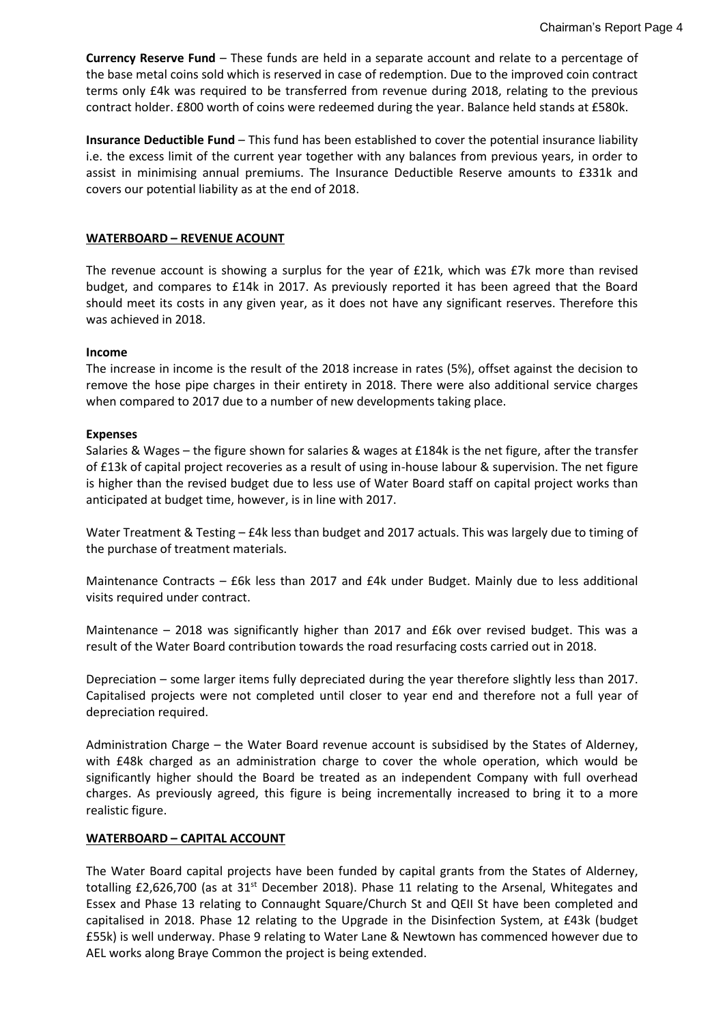**Currency Reserve Fund** – These funds are held in a separate account and relate to a percentage of the base metal coins sold which is reserved in case of redemption. Due to the improved coin contract terms only £4k was required to be transferred from revenue during 2018, relating to the previous contract holder. £800 worth of coins were redeemed during the year. Balance held stands at £580k.

**Insurance Deductible Fund** – This fund has been established to cover the potential insurance liability i.e. the excess limit of the current year together with any balances from previous years, in order to assist in minimising annual premiums. The Insurance Deductible Reserve amounts to £331k and covers our potential liability as at the end of 2018.

#### **WATERBOARD – REVENUE ACOUNT**

The revenue account is showing a surplus for the year of £21k, which was £7k more than revised budget, and compares to £14k in 2017. As previously reported it has been agreed that the Board should meet its costs in any given year, as it does not have any significant reserves. Therefore this was achieved in 2018.

#### **Income**

The increase in income is the result of the 2018 increase in rates (5%), offset against the decision to remove the hose pipe charges in their entirety in 2018. There were also additional service charges when compared to 2017 due to a number of new developments taking place.

#### **Expenses**

Salaries & Wages – the figure shown for salaries & wages at £184k is the net figure, after the transfer of £13k of capital project recoveries as a result of using in-house labour & supervision. The net figure is higher than the revised budget due to less use of Water Board staff on capital project works than anticipated at budget time, however, is in line with 2017.

Water Treatment & Testing – £4k less than budget and 2017 actuals. This was largely due to timing of the purchase of treatment materials.

Maintenance Contracts – £6k less than 2017 and £4k under Budget. Mainly due to less additional visits required under contract.

Maintenance – 2018 was significantly higher than 2017 and £6k over revised budget. This was a result of the Water Board contribution towards the road resurfacing costs carried out in 2018.

Depreciation – some larger items fully depreciated during the year therefore slightly less than 2017. Capitalised projects were not completed until closer to year end and therefore not a full year of depreciation required.

Administration Charge – the Water Board revenue account is subsidised by the States of Alderney, with £48k charged as an administration charge to cover the whole operation, which would be significantly higher should the Board be treated as an independent Company with full overhead charges. As previously agreed, this figure is being incrementally increased to bring it to a more realistic figure.

## **WATERBOARD – CAPITAL ACCOUNT**

The Water Board capital projects have been funded by capital grants from the States of Alderney, totalling £2,626,700 (as at 31<sup>st</sup> December 2018). Phase 11 relating to the Arsenal, Whitegates and Essex and Phase 13 relating to Connaught Square/Church St and QEII St have been completed and capitalised in 2018. Phase 12 relating to the Upgrade in the Disinfection System, at £43k (budget £55k) is well underway. Phase 9 relating to Water Lane & Newtown has commenced however due to AEL works along Braye Common the project is being extended.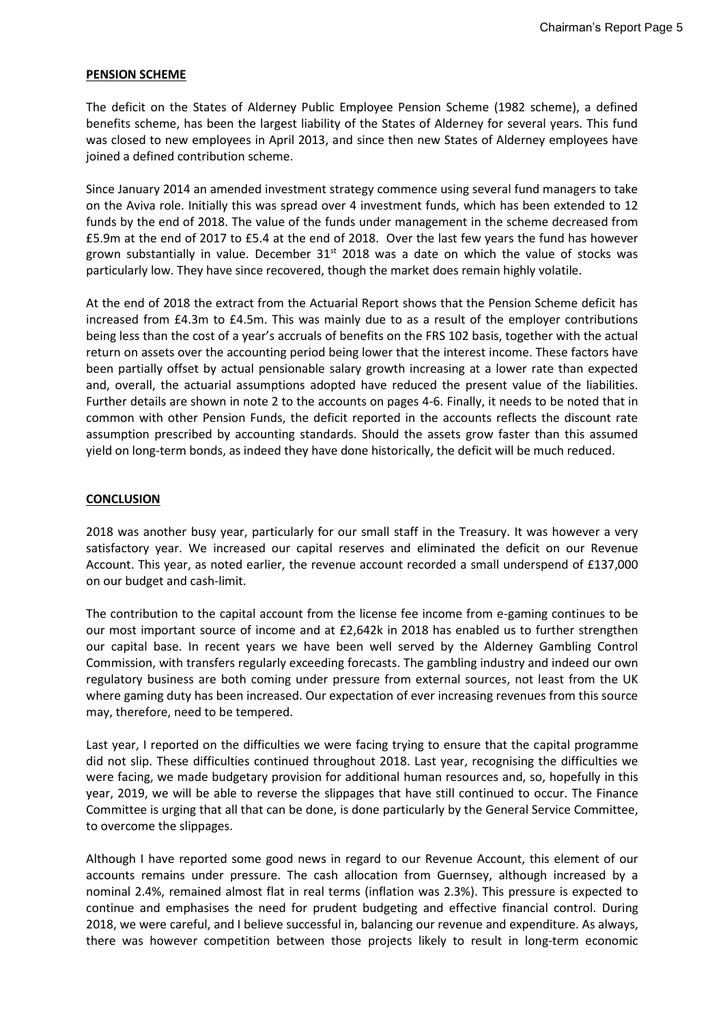#### **PENSION SCHEME**

The deficit on the States of Alderney Public Employee Pension Scheme (1982 scheme), a defined benefits scheme, has been the largest liability of the States of Alderney for several years. This fund was closed to new employees in April 2013, and since then new States of Alderney employees have joined a defined contribution scheme.

Since January 2014 an amended investment strategy commence using several fund managers to take on the Aviva role. Initially this was spread over 4 investment funds, which has been extended to 12 funds by the end of 2018. The value of the funds under management in the scheme decreased from £5.9m at the end of 2017 to £5.4 at the end of 2018. Over the last few years the fund has however grown substantially in value. December  $31<sup>st</sup>$  2018 was a date on which the value of stocks was particularly low. They have since recovered, though the market does remain highly volatile.

At the end of 2018 the extract from the Actuarial Report shows that the Pension Scheme deficit has increased from £4.3m to £4.5m. This was mainly due to as a result of the employer contributions being less than the cost of a year's accruals of benefits on the FRS 102 basis, together with the actual return on assets over the accounting period being lower that the interest income. These factors have been partially offset by actual pensionable salary growth increasing at a lower rate than expected and, overall, the actuarial assumptions adopted have reduced the present value of the liabilities. Further details are shown in note 2 to the accounts on pages 4-6. Finally, it needs to be noted that in common with other Pension Funds, the deficit reported in the accounts reflects the discount rate assumption prescribed by accounting standards. Should the assets grow faster than this assumed yield on long-term bonds, as indeed they have done historically, the deficit will be much reduced.

#### **CONCLUSION**

2018 was another busy year, particularly for our small staff in the Treasury. It was however a very satisfactory year. We increased our capital reserves and eliminated the deficit on our Revenue Account. This year, as noted earlier, the revenue account recorded a small underspend of £137,000 on our budget and cash-limit.

The contribution to the capital account from the license fee income from e-gaming continues to be our most important source of income and at £2,642k in 2018 has enabled us to further strengthen our capital base. In recent years we have been well served by the Alderney Gambling Control Commission, with transfers regularly exceeding forecasts. The gambling industry and indeed our own regulatory business are both coming under pressure from external sources, not least from the UK where gaming duty has been increased. Our expectation of ever increasing revenues from this source may, therefore, need to be tempered.

Last year, I reported on the difficulties we were facing trying to ensure that the capital programme did not slip. These difficulties continued throughout 2018. Last year, recognising the difficulties we were facing, we made budgetary provision for additional human resources and, so, hopefully in this year, 2019, we will be able to reverse the slippages that have still continued to occur. The Finance Committee is urging that all that can be done, is done particularly by the General Service Committee, to overcome the slippages.

Although I have reported some good news in regard to our Revenue Account, this element of our accounts remains under pressure. The cash allocation from Guernsey, although increased by a nominal 2.4%, remained almost flat in real terms (inflation was 2.3%). This pressure is expected to continue and emphasises the need for prudent budgeting and effective financial control. During 2018, we were careful, and I believe successful in, balancing our revenue and expenditure. As always, there was however competition between those projects likely to result in long-term economic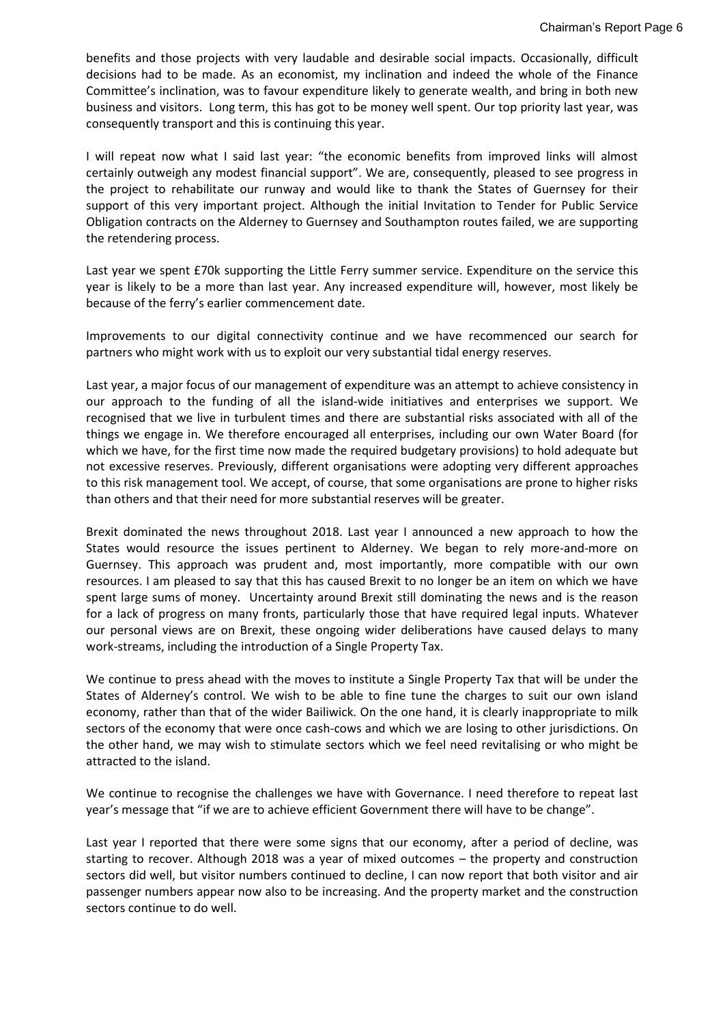benefits and those projects with very laudable and desirable social impacts. Occasionally, difficult decisions had to be made. As an economist, my inclination and indeed the whole of the Finance Committee's inclination, was to favour expenditure likely to generate wealth, and bring in both new business and visitors. Long term, this has got to be money well spent. Our top priority last year, was consequently transport and this is continuing this year.

I will repeat now what I said last year: "the economic benefits from improved links will almost certainly outweigh any modest financial support". We are, consequently, pleased to see progress in the project to rehabilitate our runway and would like to thank the States of Guernsey for their support of this very important project. Although the initial Invitation to Tender for Public Service Obligation contracts on the Alderney to Guernsey and Southampton routes failed, we are supporting the retendering process.

Last year we spent £70k supporting the Little Ferry summer service. Expenditure on the service this year is likely to be a more than last year. Any increased expenditure will, however, most likely be because of the ferry's earlier commencement date.

Improvements to our digital connectivity continue and we have recommenced our search for partners who might work with us to exploit our very substantial tidal energy reserves.

Last year, a major focus of our management of expenditure was an attempt to achieve consistency in our approach to the funding of all the island-wide initiatives and enterprises we support. We recognised that we live in turbulent times and there are substantial risks associated with all of the things we engage in. We therefore encouraged all enterprises, including our own Water Board (for which we have, for the first time now made the required budgetary provisions) to hold adequate but not excessive reserves. Previously, different organisations were adopting very different approaches to this risk management tool. We accept, of course, that some organisations are prone to higher risks than others and that their need for more substantial reserves will be greater.

Brexit dominated the news throughout 2018. Last year I announced a new approach to how the States would resource the issues pertinent to Alderney. We began to rely more-and-more on Guernsey. This approach was prudent and, most importantly, more compatible with our own resources. I am pleased to say that this has caused Brexit to no longer be an item on which we have spent large sums of money. Uncertainty around Brexit still dominating the news and is the reason for a lack of progress on many fronts, particularly those that have required legal inputs. Whatever our personal views are on Brexit, these ongoing wider deliberations have caused delays to many work-streams, including the introduction of a Single Property Tax.

We continue to press ahead with the moves to institute a Single Property Tax that will be under the States of Alderney's control. We wish to be able to fine tune the charges to suit our own island economy, rather than that of the wider Bailiwick. On the one hand, it is clearly inappropriate to milk sectors of the economy that were once cash-cows and which we are losing to other jurisdictions. On the other hand, we may wish to stimulate sectors which we feel need revitalising or who might be attracted to the island.

We continue to recognise the challenges we have with Governance. I need therefore to repeat last year's message that "if we are to achieve efficient Government there will have to be change".

Last year I reported that there were some signs that our economy, after a period of decline, was starting to recover. Although 2018 was a year of mixed outcomes – the property and construction sectors did well, but visitor numbers continued to decline, I can now report that both visitor and air passenger numbers appear now also to be increasing. And the property market and the construction sectors continue to do well.